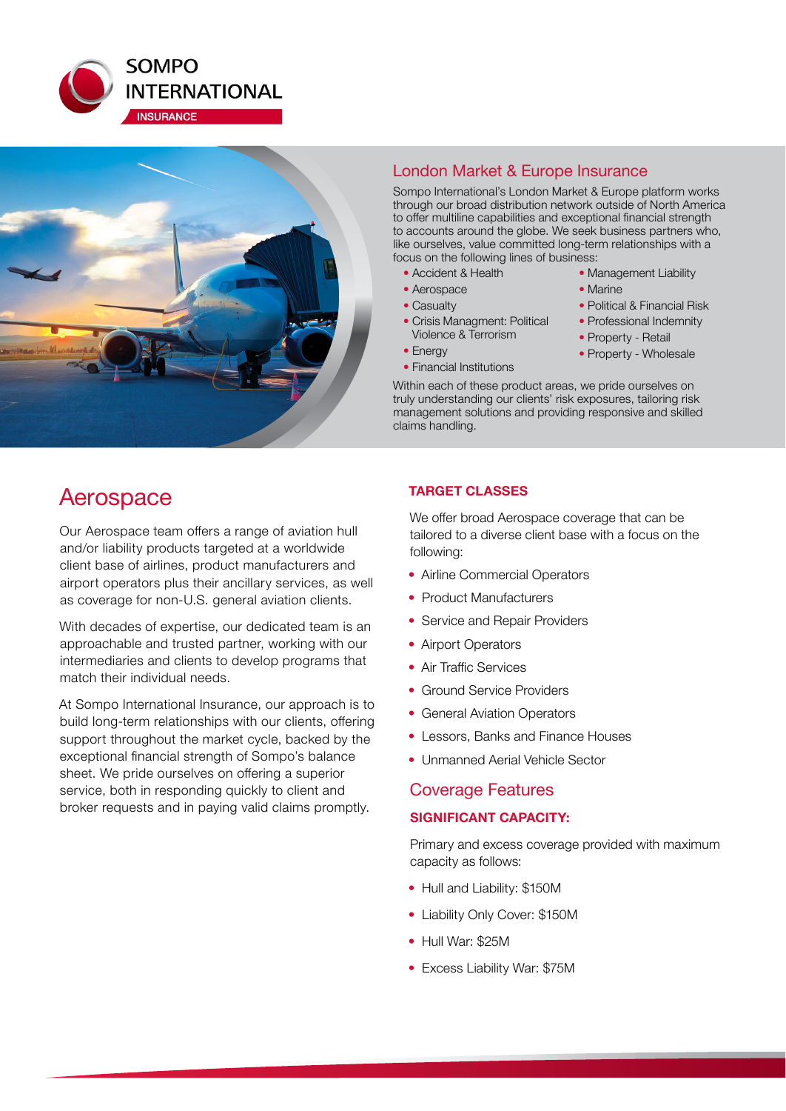



# London Market & Europe Insurance

Sompo International's London Market & Europe platform works through our broad distribution network outside of North America to offer multiline capabilities and exceptional financial strength to accounts around the globe. We seek business partners who, like ourselves, value committed long-term relationships with a focus on the following lines of business:

- Accident & Health
- Aerospace
- Casualty
- Crisis Managment: Political Violence & Terrorism
- Energy
- Financial Institutions
- Management Liability
- Marine
- Political & Financial Risk
- Professional Indemnity
- Property Retail
- Property Wholesale

Within each of these product areas, we pride ourselves on truly understanding our clients' risk exposures, tailoring risk management solutions and providing responsive and skilled claims handling.

# Aerospace

Our Aerospace team offers a range of aviation hull and/or liability products targeted at a worldwide client base of airlines, product manufacturers and airport operators plus their ancillary services, as well as coverage for non-U.S. general aviation clients.

With decades of expertise, our dedicated team is an approachable and trusted partner, working with our intermediaries and clients to develop programs that match their individual needs.

At Sompo International Insurance, our approach is to build long-term relationships with our clients, offering support throughout the market cycle, backed by the exceptional financial strength of Sompo's balance sheet. We pride ourselves on offering a superior service, both in responding quickly to client and broker requests and in paying valid claims promptly.

# **TARGET CLASSES**

We offer broad Aerospace coverage that can be tailored to a diverse client base with a focus on the following:

- Airline Commercial Operators
- Product Manufacturers
- Service and Repair Providers
- Airport Operators
- Air Traffic Services
- Ground Service Providers
- General Aviation Operators
- Lessors, Banks and Finance Houses
- Unmanned Aerial Vehicle Sector

# Coverage Features

## **SIGNIFICANT CAPACITY:**

Primary and excess coverage provided with maximum capacity as follows:

- Hull and Liability: \$150M
- Liability Only Cover: \$150M
- Hull War: \$25M
- Excess Liability War: \$75M